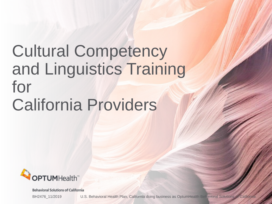# Cultural Competency and Linguistics Training for California Providers



Behavioral Solutions of California

BH2476 11/2019 U.S. Behavioral Health Plan, California doing business as OptumHealth Behavioral Solutions of California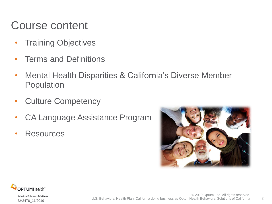#### Course content

- Training Objectives
- Terms and Definitions
- Mental Health Disparities & California's Diverse Member Population
- Culture Competency
- CA Language Assistance Program
- Resources



2

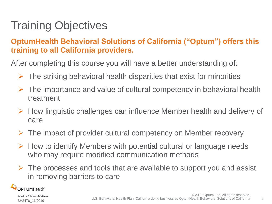# Training Objectives

#### **OptumHealth Behavioral Solutions of California ("Optum") offers this training to all California providers.**

After completing this course you will have a better understanding of:

- The striking behavioral health disparities that exist for minorities
- The importance and value of cultural competency in behavioral health treatment
- $\triangleright$  How linguistic challenges can influence Member health and delivery of care
- The impact of provider cultural competency on Member recovery
- $\triangleright$  How to identify Members with potential cultural or language needs who may require modified communication methods
- $\triangleright$  The processes and tools that are available to support you and assist in removing barriers to care

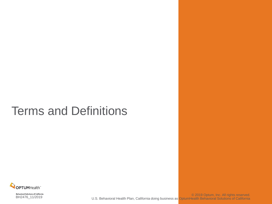### Terms and Definitions

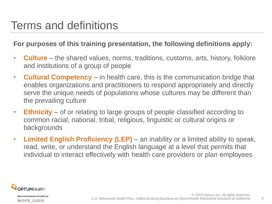#### Terms and definitions

#### **For purposes of this training presentation, the following definitions apply:**

- **Culture** the shared values, norms, traditions, customs, arts, history, folklore and institutions of a group of people
- **Cultural Competency**  in health care, this is the communication bridge that enables organizations and practitioners to respond appropriately and directly serve the unique needs of populations whose cultures may be different than the prevailing culture
- **Ethnicity** of or relating to large groups of people classified according to common racial, national, tribal, religious, linguistic or cultural origins or backgrounds
- **Limited English Proficiency (LEP)** an inability or a limited ability to speak, read, write, or understand the English language at a level that permits that individual to interact effectively with health care providers or plan employees

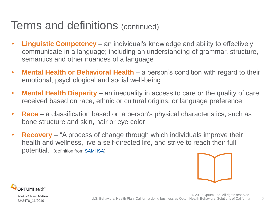#### Terms and definitions (continued)

- **Linguistic Competency**  an individual's knowledge and ability to effectively communicate in a language; including an understanding of grammar, structure, semantics and other nuances of a language
- **Mental Health or Behavioral Health**  a person's condition with regard to their emotional, psychological and social well-being
- **Mental Health Disparity** an inequality in access to care or the quality of care received based on race, ethnic or cultural origins, or language preference
- **Race** a classification based on a person's physical characteristics, such as bone structure and skin, hair or eye color
- **Recovery** "A process of change through which individuals improve their health and wellness, live a self-directed life, and strive to reach their full potential." (definition from [SAMHSA](https://store.samhsa.gov/product/SAMHSA-s-Working-Definition-of-Recovery/PEP12-RECDEF))



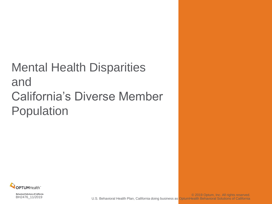# Mental Health Disparities and California's Diverse Member Population

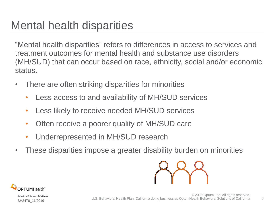### Mental health disparities

"Mental health disparities" refers to differences in access to services and treatment outcomes for mental health and substance use disorders (MH/SUD) that can occur based on race, ethnicity, social and/or economic status.

- There are often striking disparities for minorities
	- Less access to and availability of MH/SUD services
	- Less likely to receive needed MH/SUD services
	- Often receive a poorer quality of MH/SUD care
	- Underrepresented in MH/SUD research
- These disparities impose a greater disability burden on minorities



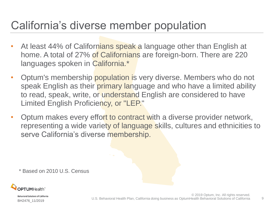### California's diverse member population

- At least 44% of Californians speak a language other than English at home. A total of 27% of Californians are foreign-born. There are 220 languages spoken in California.\*
- Optum's membership population is very diverse. Members who do not speak English as their primary language and who have a limited ability to read, speak, write, or understand English are considered to have Limited English Proficiency, or "LEP."
- Optum makes every effort to contract with a diverse provider network, representing a wide variety of language skills, cultures and ethnicities to serve California's diverse membership.

\* Based on 2010 U.S. Census



Behavioral Solutions of California BH2476\_11/2019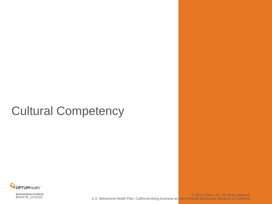# Cultural Competency

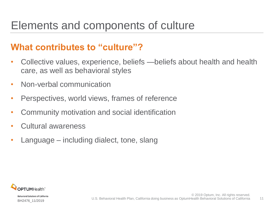### Elements and components of culture

#### **What contributes to "culture"?**

- Collective values, experience, beliefs —beliefs about health and health care, as well as behavioral styles
- Non-verbal communication
- Perspectives, world views, frames of reference
- Community motivation and social identification
- Cultural awareness
- Language including dialect, tone, slang

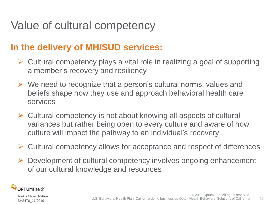#### **In the delivery of MH/SUD services:**

- $\triangleright$  Cultural competency plays a vital role in realizing a goal of supporting a member's recovery and resiliency
- $\triangleright$  We need to recognize that a person's cultural norms, values and beliefs shape how they use and approach behavioral health care services
- $\triangleright$  Cultural competency is not about knowing all aspects of cultural variances but rather being open to every culture and aware of how culture will impact the pathway to an individual's recovery
- Cultural competency allows for acceptance and respect of differences
- $\triangleright$  Development of cultural competency involves ongoing enhancement of our cultural knowledge and resources

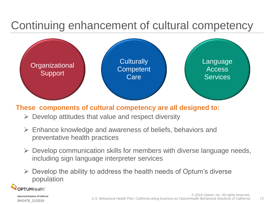### Continuing enhancement of cultural competency



#### **These components of cultural competency are all designed to:**

- $\triangleright$  Develop attitudes that value and respect diversity
- $\triangleright$  Enhance knowledge and awareness of beliefs, behaviors and preventative health practices
- $\triangleright$  Develop communication skills for members with diverse language needs, including sign language interpreter services
- $\triangleright$  Develop the ability to address the health needs of Optum's diverse population

PTUMHealth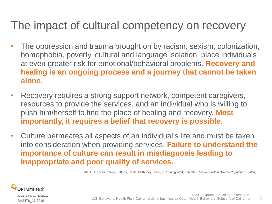#### The impact of cultural competency on recovery

- The oppression and trauma brought on by racism, sexism, colonization, homophobia, poverty, cultural and language isolation, place individuals at even greater risk for emotional/behavioral problems. **Recovery and healing is an ongoing process and a journey that cannot be taken alone.**
- Recovery requires a strong support network, competent caregivers, resources to provide the services, and an individual who is willing to push him/herself to find the place of healing and recovery. **Most importantly, it requires a belief that recovery is possible.**
- Culture permeates all aspects of an individual's life and must be taken into consideration when providing services. **Failure to understand the importance of culture can result in misdiagnosis leading to inappropriate and poor quality of services.**

Ida, D.J., Lopez, Steve, Lafferty, Paula, McKinney, Jacki, & Running Wolf, Paulette, *Recovery within Diverse Populations* (2007)



**Behavioral Solutions of California** BH2476\_11/2019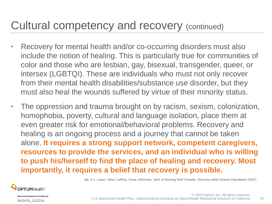#### Cultural competency and recovery (continued)

- Recovery for mental health and/or co-occurring disorders must also include the notion of healing. This is particularly true for communities of color and those who are lesbian, gay, bisexual, transgender, queer, or intersex (LGBTQI). These are individuals who must not only recover from their mental health disabilities/substance use disorder, but they must also heal the wounds suffered by virtue of their minority status.
- The oppression and trauma brought on by racism, sexism, colonization, homophobia, poverty, cultural and language isolation, place them at even greater risk for emotional/behavioral problems. Recovery and healing is an ongoing process and a journey that cannot be taken alone. **It requires a strong support network, competent caregivers, resources to provide the services, and an individual who is willing to push his/herself to find the place of healing and recovery. Most importantly, it requires a belief that recovery is possible.**

Ida, D.J., Lopez, Steve, Lafferty, Paula, McKinney, Jacki, & Running Wolf, Paulette, *Recovery within Diverse Populations* (2007)



Behavioral Solutions of California BH2476\_11/2019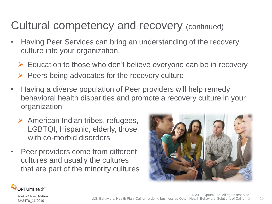### Cultural competency and recovery (continued)

- Having Peer Services can bring an understanding of the recovery culture into your organization.
	- $\triangleright$  Education to those who don't believe everyone can be in recovery
	- $\triangleright$  Peers being advocates for the recovery culture
- Having a diverse population of Peer providers will help remedy behavioral health disparities and promote a recovery culture in your organization
	- $\triangleright$  American Indian tribes, refugees, LGBTQI, Hispanic, elderly, those with co-morbid disorders
- Peer providers come from different cultures and usually the cultures that are part of the minority cultures





BH2476\_11/2019

**Behavioral Solutions of California**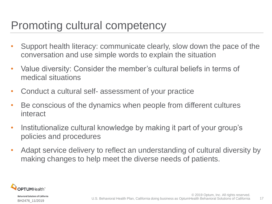### Promoting cultural competency

- Support health literacy: communicate clearly, slow down the pace of the conversation and use simple words to explain the situation
- Value diversity: Consider the member's cultural beliefs in terms of medical situations
- Conduct a cultural self- assessment of your practice
- Be conscious of the dynamics when people from different cultures interact
- Institutionalize cultural knowledge by making it part of your group's policies and procedures
- Adapt service delivery to reflect an understanding of cultural diversity by making changes to help meet the diverse needs of patients.

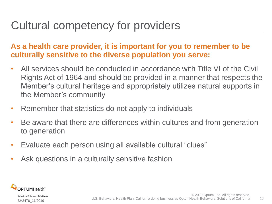## Cultural competency for providers

#### **As a health care provider, it is important for you to remember to be culturally sensitive to the diverse population you serve:**

- All services should be conducted in accordance with Title VI of the Civil Rights Act of 1964 and should be provided in a manner that respects the Member's cultural heritage and appropriately utilizes natural supports in the Member's community
- Remember that statistics do not apply to individuals
- Be aware that there are differences within cultures and from generation to generation
- Evaluate each person using all available cultural "clues"
- Ask questions in a culturally sensitive fashion

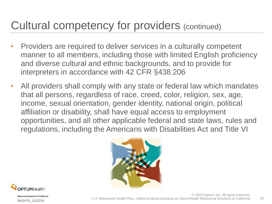### Cultural competency for providers (continued)

- Providers are required to deliver services in a culturally competent manner to all members, including those with limited English proficiency and diverse cultural and ethnic backgrounds, and to provide for interpreters in accordance with 42 CFR §438.206
- All providers shall comply with any state or federal law which mandates that all persons, regardless of race, creed, color, religion, sex, age, income, sexual orientation, gender identity, national origin, political affiliation or disability, shall have equal access to employment opportunities, and all other applicable federal and state laws, rules and regulations, including the Americans with Disabilities Act and Title VI





**Behavioral Solutions of California** BH2476\_11/2019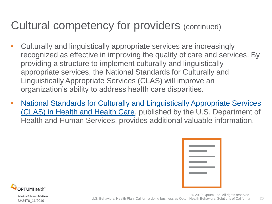### Cultural competency for providers (continued)

- Culturally and linguistically appropriate services are increasingly recognized as effective in improving the quality of care and services. By providing a structure to implement culturally and linguistically appropriate services, the National Standards for Culturally and Linguistically Appropriate Services (CLAS) will improve an organization's ability to address health care disparities.
- **National Standards for Culturally and Linguistically Appropriate Services** [\(CLAS\) in Health and Health Care,](https://thinkculturalhealth.hhs.gov/pdfs/enhancednationalclasstandards.pdf) published by the U.S. Department of Health and Human Services, provides additional valuable information.

 $20$ 

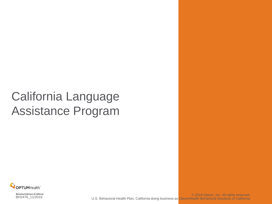# California Language Assistance Program

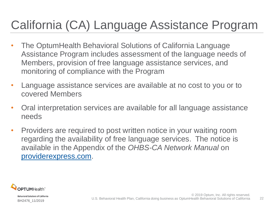# California (CA) Language Assistance Program

- The OptumHealth Behavioral Solutions of California Language Assistance Program includes assessment of the language needs of Members, provision of free language assistance services, and monitoring of compliance with the Program
- Language assistance services are available at no cost to you or to covered Members
- Oral interpretation services are available for all language assistance needs
- Providers are required to post written notice in your waiting room regarding the availability of free language services. The notice is available in the Appendix of the *OHBS-CA Network Manual* on [providerexpress.com](https://www.providerexpress.com/content/ope-provexpr/us/en/clinical-resources/guidelines-policies/ohbscaNetworkManual.html).

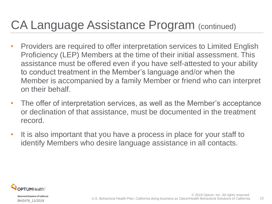# CA Language Assistance Program (continued)

- Providers are required to offer interpretation services to Limited English Proficiency (LEP) Members at the time of their initial assessment. This assistance must be offered even if you have self-attested to your ability to conduct treatment in the Member's language and/or when the Member is accompanied by a family Member or friend who can interpret on their behalf.
- The offer of interpretation services, as well as the Member's acceptance or declination of that assistance, must be documented in the treatment record.
- It is also important that you have a process in place for your staff to identify Members who desire language assistance in all contacts.

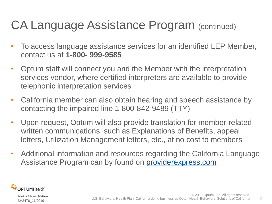# CA Language Assistance Program (continued)

- To access language assistance services for an identified LEP Member, contact us at **1-800- 999-9585**
- Optum staff will connect you and the Member with the interpretation services vendor, where certified interpreters are available to provide telephonic interpretation services
- California member can also obtain hearing and speech assistance by contacting the impaired line 1-800-842-9489 (TTY)
- Upon request, Optum will also provide translation for member-related written communications, such as Explanations of Benefits, appeal letters, Utilization Management letters, etc., at no cost to members
- Additional information and resources regarding the California Language Assistance Program can by found on **providerexpress.com**

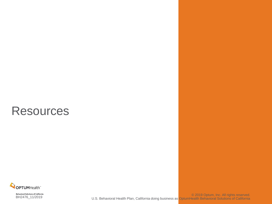#### **Resources**

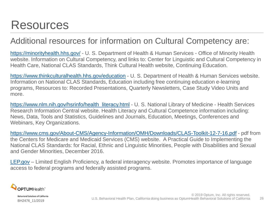### Resources

#### Additional resources for information on Cultural Competency are:

<https://minorityhealth.hhs.gov/> - U. S. Department of Health & Human Services - Office of Minority Health website. Information on Cultural Competency, and links to: Center for Linguistic and Cultural Competency in Health Care, National CLAS Standards, Think Cultural Health website, Continuing Education.

<https://www.thinkculturalhealth.hhs.gov/education> - U. S. Department of Health & Human Services website. Information on National CLAS Standards, Education including free continuing education e-learning programs, Resources to: Recorded Presentations, Quarterly Newsletters, Case Study Video Units and more.

[https://www.nlm.nih.gov/hsrinfo/health\\_literacy.html](https://www.nlm.nih.gov/hsrinfo/health_literacy.html) - U. S. National Library of Medicine - Health Services Research Information Central website. Health Literacy and Cultural Competence information including: News, Data, Tools and Statistics, Guidelines and Journals, Education, Meetings, Conferences and Webinars, Key Organizations.

<https://www.cms.gov/About-CMS/Agency-Information/OMH/Downloads/CLAS-Toolkit-12-7-16.pdf> - pdf from the Centers for Medicare and Medicaid Services (CMS) website. A Practical Guide to Implementing the National CLAS Standards: for Racial, Ethnic and Linguistic Minorities, People with Disabilities and Sexual and Gender Minorities, December 2016.

[LEP.gov](http://www.lep.gov/) – Limited English Proficiency, a federal interagency website. Promotes importance of language access to federal programs and federally assisted programs.